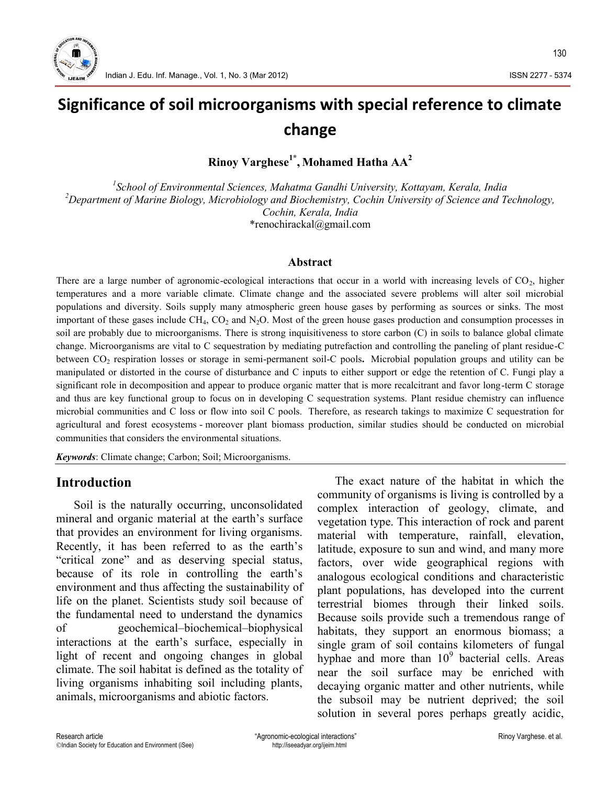

# **Significance of soil microorganisms with special reference to climate change**

**Rinoy Varghese1\* , Mohamed Hatha AA<sup>2</sup>**

*<sup>1</sup>School of Environmental Sciences, Mahatma Gandhi University, Kottayam, Kerala, India <sup>2</sup>Department of Marine Biology, Microbiology and Biochemistry, Cochin University of Science and Technology, Cochin, Kerala, India*

\*renochirackal@gmail.com

#### **Abstract**

There are a large number of agronomic-ecological interactions that occur in a world with increasing levels of  $CO<sub>2</sub>$ , higher temperatures and a more variable climate. Climate change and the associated severe problems will alter soil microbial populations and diversity. Soils supply many atmospheric green house gases by performing as sources or sinks. The most important of these gases include  $CH_4$ ,  $CO_2$  and  $N_2O$ . Most of the green house gases production and consumption processes in soil are probably due to microorganisms. There is strong inquisitiveness to store carbon (C) in soils to balance global climate change. Microorganisms are vital to C sequestration by mediating putrefaction and controlling the paneling of plant residue-C between CO<sub>2</sub> respiration losses or storage in semi-permanent soil-C pools. Microbial population groups and utility can be manipulated or distorted in the course of disturbance and C inputs to either support or edge the retention of C. Fungi play a significant role in decomposition and appear to produce organic matter that is more recalcitrant and favor long-term C storage and thus are key functional group to focus on in developing C sequestration systems. Plant residue chemistry can influence microbial communities and C loss or flow into soil C pools. Therefore, as research takings to maximize C sequestration for agricultural and forest ecosystems - moreover plant biomass production, similar studies should be conducted on microbial communities that considers the environmental situations.

*Keywords*: Climate change; Carbon; Soil; Microorganisms.

### **Introduction**

Soil is the naturally occurring, unconsolidated mineral and organic material at the earth's surface that provides an environment for living organisms. Recently, it has been referred to as the earth's "critical zone" and as deserving special status, because of its role in controlling the earth's environment and thus affecting the sustainability of life on the planet. Scientists study soil because of the fundamental need to understand the dynamics of geochemical–biochemical–biophysical interactions at the earth's surface, especially in light of recent and ongoing changes in global climate. The soil habitat is defined as the totality of living organisms inhabiting soil including plants, animals, microorganisms and abiotic factors.

The exact nature of the habitat in which the community of organisms is living is controlled by a complex interaction of geology, climate, and vegetation type. This interaction of rock and parent material with temperature, rainfall, elevation, latitude, exposure to sun and wind, and many more factors, over wide geographical regions with analogous ecological conditions and characteristic plant populations, has developed into the current terrestrial biomes through their linked soils. Because soils provide such a tremendous range of habitats, they support an enormous biomass; a single gram of soil contains kilometers of fungal hyphae and more than  $10<sup>9</sup>$  bacterial cells. Areas near the soil surface may be enriched with decaying organic matter and other nutrients, while the subsoil may be nutrient deprived; the soil solution in several pores perhaps greatly acidic,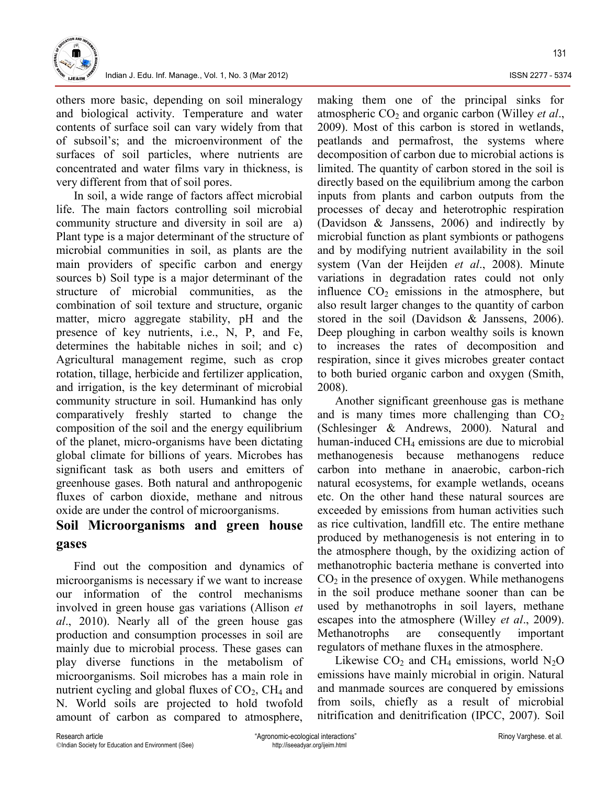

others more basic, depending on soil mineralogy and biological activity. Temperature and water contents of surface soil can vary widely from that of subsoil's; and the microenvironment of the surfaces of soil particles, where nutrients are concentrated and water films vary in thickness, is very different from that of soil pores.

In soil, a wide range of factors affect microbial life. The main factors controlling soil microbial community structure and diversity in soil are a) Plant type is a major determinant of the structure of microbial communities in soil, as plants are the main providers of specific carbon and energy sources b) Soil type is a major determinant of the structure of microbial communities, as the combination of soil texture and structure, organic matter, micro aggregate stability, pH and the presence of key nutrients, i.e., N, P, and Fe, determines the habitable niches in soil; and c) Agricultural management regime, such as crop rotation, tillage, herbicide and fertilizer application, and irrigation, is the key determinant of microbial community structure in soil. Humankind has only comparatively freshly started to change the composition of the soil and the energy equilibrium of the planet, micro-organisms have been dictating global climate for billions of years. Microbes has significant task as both users and emitters of greenhouse gases. Both natural and anthropogenic fluxes of carbon dioxide, methane and nitrous oxide are under the control of microorganisms.

### **Soil Microorganisms and green house gases**

Find out the composition and dynamics of microorganisms is necessary if we want to increase our information of the control mechanisms involved in green house gas variations (Allison *et al*., 2010). Nearly all of the green house gas production and consumption processes in soil are mainly due to microbial process. These gases can play diverse functions in the metabolism of microorganisms. Soil microbes has a main role in nutrient cycling and global fluxes of  $CO<sub>2</sub>$ , CH<sub>4</sub> and N. World soils are projected to hold twofold amount of carbon as compared to atmosphere,

making them one of the principal sinks for atmospheric CO<sub>2</sub> and organic carbon (Willey *et al.*, 2009). Most of this carbon is stored in wetlands, peatlands and permafrost, the systems where decomposition of carbon due to microbial actions is limited. The quantity of carbon stored in the soil is directly based on the equilibrium among the carbon inputs from plants and carbon outputs from the processes of decay and heterotrophic respiration (Davidson & Janssens, 2006) and indirectly by microbial function as plant symbionts or pathogens and by modifying nutrient availability in the soil system (Van der Heijden *et al*., 2008). Minute variations in degradation rates could not only influence  $CO<sub>2</sub>$  emissions in the atmosphere, but also result larger changes to the quantity of carbon stored in the soil (Davidson & Janssens, 2006). Deep ploughing in carbon wealthy soils is known to increases the rates of decomposition and respiration, since it gives microbes greater contact to both buried organic carbon and oxygen (Smith, 2008).

Another significant greenhouse gas is methane and is many times more challenging than  $CO<sub>2</sub>$ (Schlesinger & Andrews, 2000). Natural and human-induced  $CH<sub>4</sub>$  emissions are due to microbial methanogenesis because methanogens reduce carbon into methane in anaerobic, carbon-rich natural ecosystems, for example wetlands, oceans etc. On the other hand these natural sources are exceeded by emissions from human activities such as rice cultivation, landfill etc. The entire methane produced by methanogenesis is not entering in to the atmosphere though, by the oxidizing action of methanotrophic bacteria methane is converted into  $CO<sub>2</sub>$  in the presence of oxygen. While methanogens in the soil produce methane sooner than can be used by methanotrophs in soil layers, methane escapes into the atmosphere (Willey *et al*., 2009). Methanotrophs are consequently important regulators of methane fluxes in the atmosphere.

Likewise  $CO<sub>2</sub>$  and CH<sub>4</sub> emissions, world N<sub>2</sub>O emissions have mainly microbial in origin. Natural and manmade sources are conquered by emissions from soils, chiefly as a result of microbial nitrification and denitrification (IPCC, 2007). Soil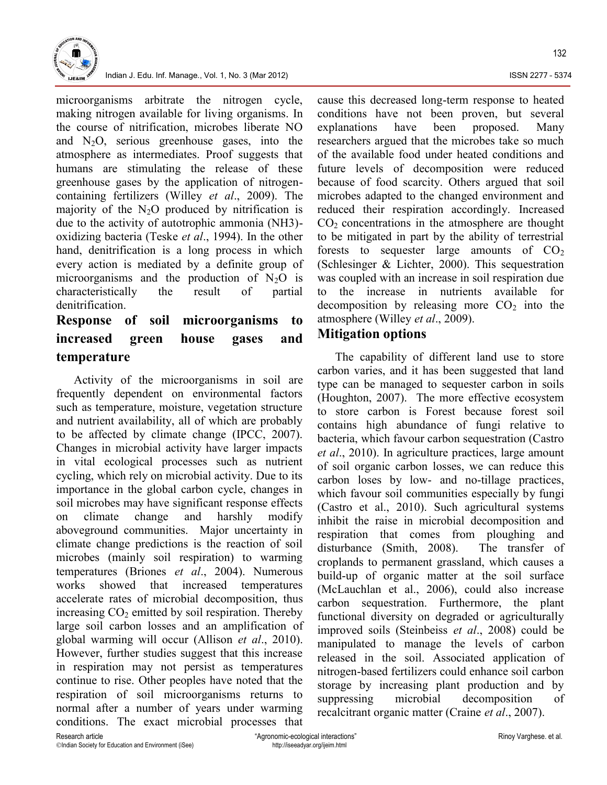

Indian J. Edu. Inf. Manage., Vol. 1, No. 3 (Mar 2012) **ISSN 2277 - 5374** ISSN 2277 - 5374

microorganisms arbitrate the nitrogen cycle, making nitrogen available for living organisms. In the course of nitrification, microbes liberate NO and  $N_2O$ , serious greenhouse gases, into the atmosphere as intermediates. Proof suggests that humans are stimulating the release of these greenhouse gases by the application of nitrogen containing fertilizers (Willey *et al*., 2009). The majority of the  $N_2O$  produced by nitrification is due to the activity of autotrophic ammonia (NH3) oxidizing bacteria (Teske *et al*., 1994). In the other hand, denitrification is a long process in which every action is mediated by a definite group of microorganisms and the production of  $N_2O$  is characteristically the result of partial denitrification.

## **Response of soil microorganisms to increased green house gases and temperature**

Activity of the microorganisms in soil are frequently dependent on environmental factors such as temperature, moisture, vegetation structure and nutrient availability, all of which are probably to be affected by climate change (IPCC, 2007). Changes in microbial activity have larger impacts in vital ecological processes such as nutrient cycling, which rely on microbial activity. Due to its importance in the global carbon cycle, changes in soil microbes may have significant response effects on climate change and harshly modify aboveground communities. Major uncertainty in climate change predictions is the reaction of soil microbes (mainly soil respiration) to warming temperatures (Briones *et al*., 2004). Numerous works showed that increased temperatures accelerate rates of microbial decomposition, thus increasing  $CO<sub>2</sub>$  emitted by soil respiration. Thereby large soil carbon losses and an amplification of global warming will occur (Allison *et al*., 2010). However, further studies suggest that this increase in respiration may not persist as temperatures continue to rise. Other peoples have noted that the respiration of soil microorganisms returns to suppressing normal after a number of years under warming conditions. The exact microbial processes that

cause this decreased long-term response to heated conditions have not been proven, but several explanations have been proposed. Many researchers argued that the microbes take so much of the available food under heated conditions and future levels of decomposition were reduced because of food scarcity. Others argued that soil microbes adapted to the changed environment and reduced their respiration accordingly. Increased  $CO<sub>2</sub>$  concentrations in the atmosphere are thought to be mitigated in part by the ability of terrestrial forests to sequester large amounts of  $CO<sub>2</sub>$ (Schlesinger & Lichter, 2000). This sequestration was coupled with an increase in soil respiration due the increase in nutrients available for decomposition by releasing more  $CO<sub>2</sub>$  into the atmosphere (Willey *et al*., 2009).

### **Mitigation options**

The capability of different land use to store carbon varies, and it has been suggested that land type can be managed to sequester carbon in soils (Houghton, 2007). The more effective ecosystem to store carbon is Forest because forest soil contains high abundance of fungi relative to bacteria, which favour carbon sequestration (Castro *et al*., 2010). In agriculture practices, large amount of soil organic carbon losses, we can reduce this carbon loses by low- and no-tillage practices, which favour soil communities especially by fungi (Castro et al., 2010). Such agricultural systems inhibit the raise in microbial decomposition and respiration that comes from ploughing and disturbance (Smith, 2008). The transfer of croplands to permanent grassland, which causes a build-up of organic matter at the soil surface (McLauchlan et al., 2006), could also increase carbon sequestration. Furthermore, the plant functional diversity on degraded or agriculturally improved soils (Steinbeiss *et al*., 2008) could be manipulated to manage the levels of carbon released in the soil. Associated application of nitrogen-based fertilizers could enhance soil carbon storage by increasing plant production and by microbial decomposition of recalcitrant organic matter (Craine *et al*., 2007).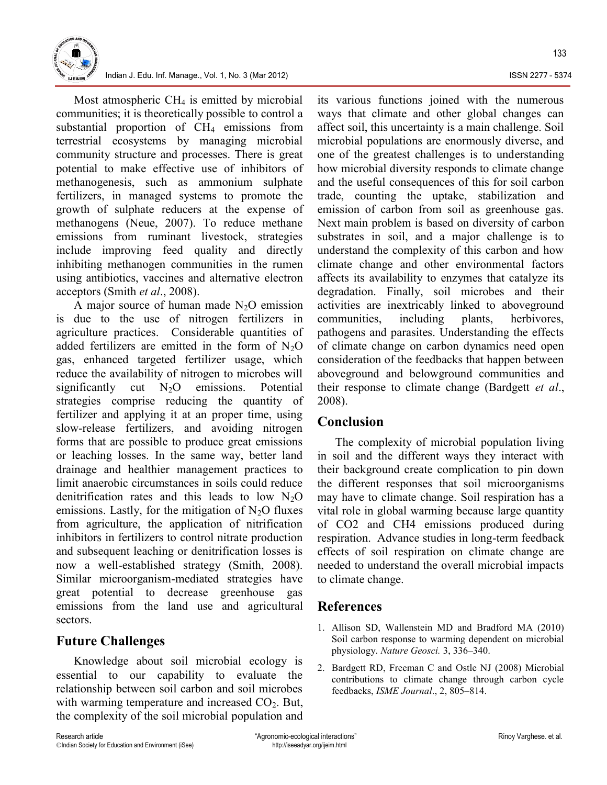

133

Indian J. Edu. Inf. Manage., Vol. 1, No. 3 (Mar 2012) **ISSN 2271-5374** ISSN 2277-5374

Most atmospheric  $CH<sub>4</sub>$  is emitted by microbial communities; it is theoretically possible to control a substantial proportion of  $CH<sub>4</sub>$  emissions from terrestrial ecosystems by managing microbial community structure and processes. There is great potential to make effective use of inhibitors of methanogenesis, such as ammonium sulphate fertilizers, in managed systems to promote the growth of sulphate reducers at the expense of methanogens (Neue, 2007). To reduce methane emissions from ruminant livestock, strategies include improving feed quality and directly inhibiting methanogen communities in the rumen using antibiotics, vaccines and alternative electron acceptors (Smith *et al*., 2008).

A major source of human made  $N_2O$  emission is due to the use of nitrogen fertilizers in agriculture practices. Considerable quantities of added fertilizers are emitted in the form of  $N_2O$ gas, enhanced targeted fertilizer usage, which reduce the availability of nitrogen to microbes will significantly cut  $N_2O$  emissions. Potential strategies comprise reducing the quantity of fertilizer and applying it at an proper time, using slow-release fertilizers, and avoiding nitrogen forms that are possible to produce great emissions or leaching losses. In the same way, better land drainage and healthier management practices to limit anaerobic circumstances in soils could reduce denitrification rates and this leads to low  $N_2O$ emissions. Lastly, for the mitigation of  $N<sub>2</sub>O$  fluxes from agriculture, the application of nitrification inhibitors in fertilizers to control nitrate production and subsequent leaching or denitrification losses is now a well-established strategy (Smith, 2008). Similar microorganism-mediated strategies have great potential to decrease greenhouse gas emissions from the land use and agricultural sectors.

### **Future Challenges**

Knowledge about soil microbial ecology is essential to our capability to evaluate the relationship between soil carbon and soil microbes with warming temperature and increased  $CO<sub>2</sub>$ . But, the complexity of the soil microbial population and

its various functions joined with the numerous ways that climate and other global changes can affect soil, this uncertainty is a main challenge. Soil microbial populations are enormously diverse, and one of the greatest challenges is to understanding how microbial diversity responds to climate change and the useful consequences of this for soil carbon trade, counting the uptake, stabilization and emission of carbon from soil as greenhouse gas. Next main problem is based on diversity of carbon substrates in soil, and a major challenge is to understand the complexity of this carbon and how climate change and other environmental factors affects its availability to enzymes that catalyze its degradation. Finally, soil microbes and their activities are inextricably linked to aboveground communities, including plants, herbivores, pathogens and parasites. Understanding the effects of climate change on carbon dynamics need open consideration of the feedbacks that happen between aboveground and belowground communities and their response to climate change (Bardgett *et al*., 2008).

### **Conclusion**

The complexity of microbial population living in soil and the different ways they interact with their background create complication to pin down the different responses that soil microorganisms may have to climate change. Soil respiration has a vital role in global warming because large quantity of CO2 and CH4 emissions produced during respiration. Advance studies in long-term feedback effects of soil respiration on climate change are needed to understand the overall microbial impacts to climate change.

### **References**

- 1. Allison SD, Wallenstein MD and Bradford MA (2010) Soil carbon response to warming dependent on microbial physiology. *Nature Geosci.* 3, 336–340.
- 2. Bardgett RD, Freeman C and Ostle NJ (2008) Microbial contributions to climate change through carbon cycle feedbacks, *ISME Journal*., 2, 805–814.